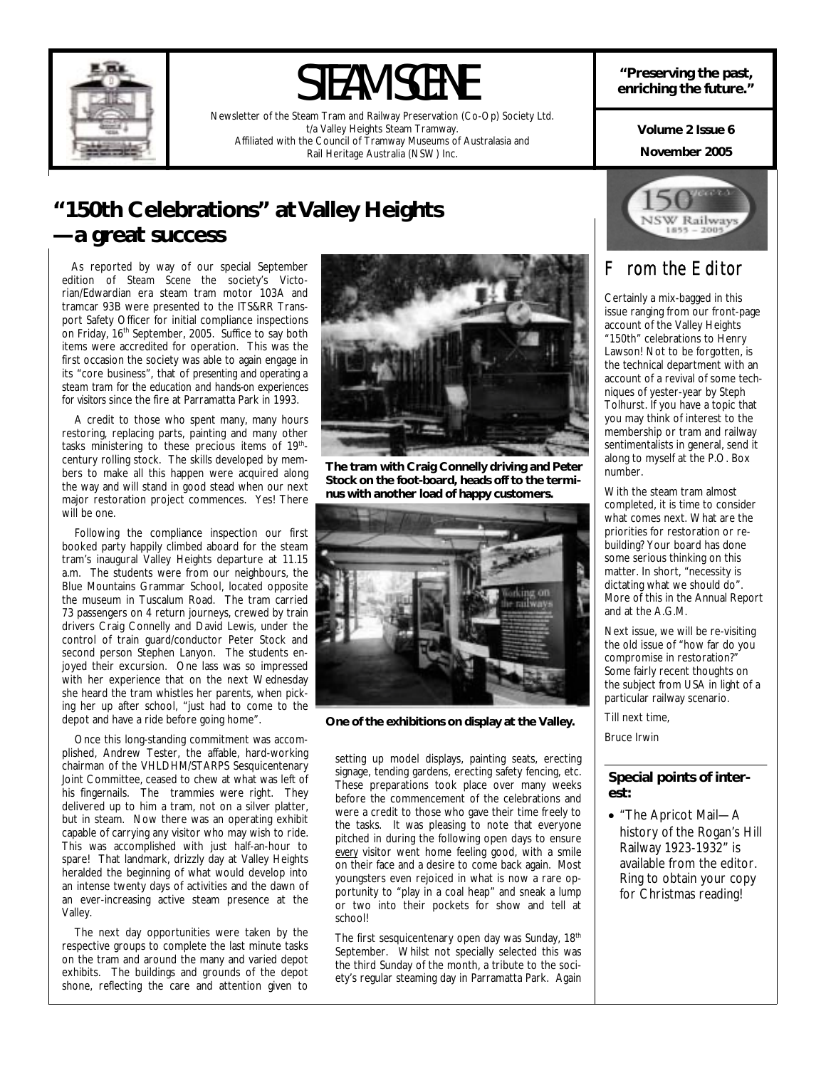

# STEAM SCENE

Newsletter of the Steam Tram and Railway Preservation (Co-Op) Society Ltd. t/a Valley Heights Steam Tramway. Affiliated with the Council of Tramway Museums of Australasia and Rail Heritage Australia (NSW) Inc.

**"Preserving the past, enriching the future."** 

> **November 2005 Volume 2 Issue 6**

### **"150th Celebrations" at Valley Heights —a great success**

 As reported by way of our special September edition of *Steam Scene* the society's Victorian/Edwardian era steam tram motor 103A and tramcar 93B were presented to the ITS&RR Transport Safety Officer for initial compliance inspections on Friday, 16<sup>th</sup> September, 2005. Suffice to say both items were accredited for operation. This was the first occasion the society was able to again engage in its "core business", that of *presenting and operating a steam tram for the education and hands-on experiences for visitors* since the fire at Parramatta Park in 1993.

 A credit to those who spent many, many hours restoring, replacing parts, painting and many other tasks ministering to these precious items of 19<sup>th</sup>century rolling stock. The skills developed by members to make all this happen were acquired along the way and will stand in good stead when our next major restoration project commences. Yes! There will be one.

 Following the compliance inspection our first booked party happily climbed aboard for the steam tram's inaugural Valley Heights departure at 11.15 a.m. The students were from our neighbours, the Blue Mountains Grammar School, located opposite the museum in Tuscalum Road. The tram carried 73 passengers on 4 return journeys, crewed by train drivers Craig Connelly and David Lewis, under the control of train guard/conductor Peter Stock and second person Stephen Lanyon. The students enjoyed their excursion. One lass was so impressed with her experience that on the next Wednesday she heard the tram whistles her parents, when picking her up after school, "just had to come to the depot and have a ride before going home".

 Once this long-standing commitment was accomplished, Andrew Tester, the affable, hard-working chairman of the VHLDHM/STARPS Sesquicentenary Joint Committee, ceased to chew at what was left of his fingernails. The trammies were right. They delivered up to him a tram, not on a silver platter, but in steam. Now there was an operating exhibit capable of carrying any visitor who may wish to ride. This was accomplished with just half-an-hour to spare! That landmark, drizzly day at Valley Heights heralded the beginning of what would develop into an intense twenty days of activities and the dawn of an ever-increasing active steam presence at the Valley.

 The next day opportunities were taken by the respective groups to complete the last minute tasks on the tram and around the many and varied depot exhibits. The buildings and grounds of the depot shone, reflecting the care and attention given to



**The tram with Craig Connelly driving and Peter Stock on the foot-board, heads off to the terminus with another load of happy customers.** 



**One of the exhibitions on display at the Valley.** 

setting up model displays, painting seats, erecting signage, tending gardens, erecting safety fencing, etc. These preparations took place over many weeks before the commencement of the celebrations and were a credit to those who gave their time freely to the tasks. It was pleasing to note that everyone pitched in during the following open days to ensure *every* visitor went home feeling good, with a smile on their face and a desire to come back again. Most youngsters even rejoiced in what is now a rare opportunity to "play in a coal heap" and sneak a lump or two into their pockets for show and tell at school!

The first sesquicentenary open day was Sunday, 18<sup>th</sup> September. Whilst not specially selected this was the third Sunday of the month, a tribute to the society's regular steaming day in Parramatta Park. Again



### *From the Editor*

Certainly a mix-bagged in this issue ranging from our front-page account of the Valley Heights "150th" celebrations to Henry Lawson! Not to be forgotten, is the technical department with an account of a revival of some techniques of yester-year by Steph Tolhurst. If you have a topic that you may think of interest to the membership or tram and railway sentimentalists in general, send it along to myself at the P.O. Box number.

With the steam tram almost completed, it is time to consider what comes next. What are the priorities for restoration or rebuilding? Your board has done some serious thinking on this matter. In short, "necessity is dictating what we should do". More of this in the Annual Report and at the A.G.M.

Next issue, we will be re-visiting the old issue of "how far do you compromise in restoration?" Some fairly recent thoughts on the subject from USA in light of a particular railway scenario.

Till next time,

#### Bruce Irwin

#### **Special points of interest:**

• "The Apricot Mail—A history of the Rogan's Hill Railway 1923-1932" is available from the editor. Ring to obtain your copy for Christmas reading!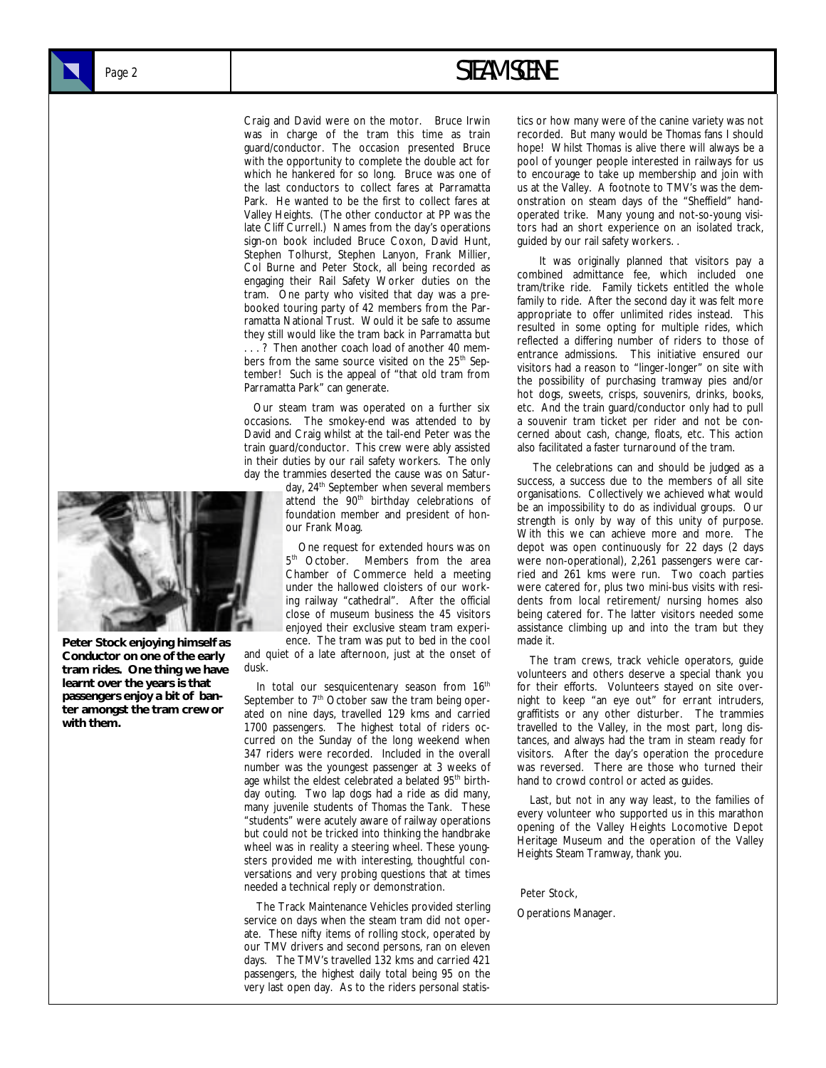### Page 2 **STEAM SCENE**

Craig and David were on the motor. Bruce Irwin was in charge of the tram this time as train guard/conductor. The occasion presented Bruce with the opportunity to complete the double act for which he hankered for so long. Bruce was one of the last conductors to collect fares at Parramatta Park. He wanted to be the first to collect fares at Valley Heights. (The other conductor at PP was the late Cliff Currell.) Names from the day's operations sign-on book included Bruce Coxon, David Hunt, Stephen Tolhurst, Stephen Lanyon, Frank Millier, Col Burne and Peter Stock, all being recorded as engaging their Rail Safety Worker duties on the tram. One party who visited that day was a prebooked touring party of 42 members from the Parramatta National Trust. Would it be safe to assume they still would like the tram back in Parramatta but ...? Then another coach load of another 40 members from the same source visited on the 25<sup>th</sup> September! Such is the appeal of "that old tram from Parramatta Park" can generate.

 Our steam tram was operated on a further six occasions. The smokey-end was attended to by David and Craig whilst at the tail-end Peter was the train guard/conductor. This crew were ably assisted in their duties by our rail safety workers. The only day the trammies deserted the cause was on Satur-

day, 24<sup>th</sup> September when several members attend the 90<sup>th</sup> birthday celebrations of foundation member and president of honour Frank Moag.

 One request for extended hours was on 5<sup>th</sup> October. Members from the area Chamber of Commerce held a meeting under the hallowed cloisters of our working railway "cathedral". After the official close of museum business the 45 visitors enjoyed their exclusive steam tram experience. The tram was put to bed in the cool

and quiet of a late afternoon, just at the onset of dusk.

In total our sesquicentenary season from 16<sup>th</sup> September to  $7<sup>th</sup>$  October saw the tram being operated on nine days, travelled 129 kms and carried 1700 passengers. The highest total of riders occurred on the Sunday of the long weekend when 347 riders were recorded. Included in the overall number was the youngest passenger at 3 weeks of age whilst the eldest celebrated a belated 95<sup>th</sup> birthday outing. Two lap dogs had a ride as did many, many juvenile students of *Thomas the Tank*. These "students" were acutely aware of railway operations but could not be tricked into thinking the handbrake wheel was in reality a steering wheel. These youngsters provided me with interesting, thoughtful conversations and very probing questions that at times needed a technical reply or demonstration.

 The Track Maintenance Vehicles provided sterling service on days when the steam tram did not operate. These nifty items of rolling stock, operated by our TMV drivers and second persons, ran on eleven days. The TMV's travelled 132 kms and carried 421 passengers, the highest daily total being 95 on the very last open day. As to the riders personal statistics or how many were of the canine variety was not recorded. But many would be *Thomas* fans I should hope! Whilst *Thomas* is alive there will always be a pool of younger people interested in railways for us to encourage to take up membership and join with us at the Valley. A footnote to TMV's was the demonstration on steam days of the "Sheffield" handoperated trike. Many young and not-so-young visitors had an short experience on an isolated track, guided by our rail safety workers. .

 It was originally planned that visitors pay a combined admittance fee, which included one tram/trike ride. Family tickets entitled the whole family to ride. After the second day it was felt more appropriate to offer unlimited rides instead. This resulted in some opting for multiple rides, which reflected a differing number of riders to those of entrance admissions. This initiative ensured our visitors had a reason to "linger-longer" on site with the possibility of purchasing tramway pies and/or hot dogs, sweets, crisps, souvenirs, drinks, books, etc. And the train guard/conductor only had to pull a souvenir tram ticket per rider and not be concerned about cash, change, floats, etc. This action also facilitated a faster turnaround of the tram.

 The celebrations can and should be judged as a success, a success due to the members of all site organisations. Collectively we achieved what would be an impossibility to do as individual groups. Our strength is only by way of this unity of purpose. With this we can achieve more and more. The depot was open continuously for 22 days (2 days were non-operational), 2,261 passengers were carried and 261 kms were run. Two coach parties were catered for, plus two mini-bus visits with residents from local retirement/ nursing homes also being catered for. The latter visitors needed some assistance climbing up and into the tram but they made it.

 The tram crews, track vehicle operators, guide volunteers and others deserve a special thank you for their efforts. Volunteers stayed on site overnight to keep "an eye out" for errant intruders, graffitists or any other disturber. The trammies travelled to the Valley, in the most part, long distances, and always had the tram in steam ready for visitors. After the day's operation the procedure was reversed. There are those who turned their hand to crowd control or acted as guides.

 Last, but not in any way least, to the families of every volunteer who supported us in this marathon opening of the Valley Heights Locomotive Depot Heritage Museum and the operation of the Valley Heights Steam Tramway, *thank you*.

Peter Stock,

Operations Manager.



**Peter Stock enjoying himself as Conductor on one of the early tram rides. One thing we have learnt over the years is that passengers enjoy a bit of banter amongst the tram crew or with them.**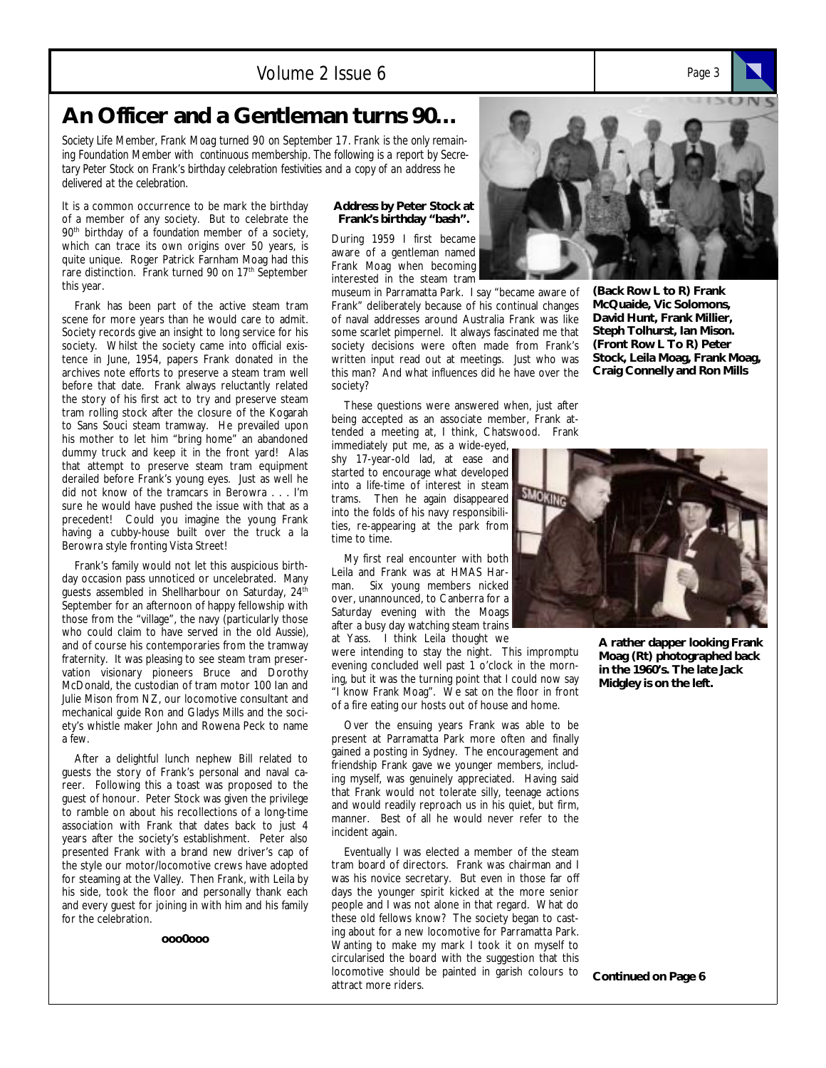#### Volume 2 Issue 6 *Page 3*

### **An Officer and a Gentleman turns 90…**

*Society Life Member, Frank Moag turned 90 on September 17. Frank is the only remaining Foundation Member with continuous membership. The following is a report by Secretary Peter Stock on Frank's birthday celebration festivities and a copy of an address he delivered at the celebration.* 

It is a common occurrence to be mark the birthday of a member of any society. But to celebrate the 90th birthday of a *foundation* member of a society, which can trace its own origins over 50 years, is quite unique. Roger Patrick Farnham Moag had this rare distinction. Frank turned 90 on 17<sup>th</sup> September this year.

 Frank has been part of the active steam tram scene for more years than he would care to admit. Society records give an insight to long service for his society. Whilst the society came into official existence in June, 1954, papers Frank donated in the archives note efforts to preserve a steam tram well before that date. Frank always reluctantly related the story of his first act to try and preserve steam tram rolling stock after the closure of the Kogarah to Sans Souci steam tramway. He prevailed upon his mother to let him "bring home" an abandoned dummy truck and keep it in the front yard! Alas that attempt to preserve steam tram equipment derailed before Frank's young eyes. Just as well he did not know of the tramcars in Berowra . . . I'm sure he would have pushed the issue with that as a precedent! Could you imagine the young Frank having a cubby-house built over the truck a la Berowra style fronting Vista Street!

 Frank's family would not let this auspicious birthday occasion pass unnoticed or uncelebrated. Many guests assembled in Shellharbour on Saturday,  $24^{\text{th}}$ September for an afternoon of happy fellowship with those from the "village", the navy (particularly those who could claim to have served in the old *Aussie),*  and of course his contemporaries from the tramway fraternity. It was pleasing to see steam tram preservation visionary pioneers Bruce and Dorothy McDonald, the custodian of tram motor 100 Ian and Julie Mison from NZ, our locomotive consultant and mechanical guide Ron and Gladys Mills and the society's whistle maker John and Rowena Peck to name a few.

 After a delightful lunch nephew Bill related to guests the story of Frank's personal and naval career. Following this a toast was proposed to the guest of honour. Peter Stock was given the privilege to ramble on about his recollections of a long-time association with Frank that dates back to just 4 years after the society's establishment. Peter also presented Frank with a brand new driver's cap of the style our motor/locomotive crews have adopted for steaming at the Valley. Then Frank, with Leila by his side, took the floor and personally thank each and every guest for joining in with him and his family for the celebration.

**ooo0ooo** 

#### **Address by Peter Stock at Frank's birthday "bash".**

During 1959 I first became aware of a gentleman named Frank Moag when becoming interested in the steam tram

museum in Parramatta Park. I say "became aware of Frank" deliberately because of his continual changes of naval addresses around Australia Frank was like some scarlet pimpernel. It always fascinated me that society decisions were often made from Frank's written input read out at meetings. Just who was this man? And what influences did he have over the society?



**(Back Row L to R) Frank McQuaide, Vic Solomons, David Hunt, Frank Millier, Steph Tolhurst, Ian Mison. (Front Row L To R) Peter Stock, Leila Moag, Frank Moag, Craig Connelly and Ron Mills** 

 These questions were answered when, just after being accepted as an associate member, Frank attended a meeting at, I think, Chatswood. Frank

immediately put me, as a wide-eyed, shy 17-year-old lad, at ease and started to encourage what developed into a life-time of interest in steam trams. Then he again disappeared into the folds of his navy responsibilities, re-appearing at the park from time to time.

 My first real encounter with both Leila and Frank was at HMAS Harman. Six young members nicked over, unannounced, to Canberra for a Saturday evening with the Moags after a busy day watching steam trains at Yass. I think Leila thought we

were intending to stay the night. This impromptu evening concluded well past 1 o'clock in the morning, but it was the turning point that I could now say "I know Frank Moag". We sat on the floor in front of a fire eating our hosts out of house and home.

 Over the ensuing years Frank was able to be present at Parramatta Park more often and finally gained a posting in Sydney. The encouragement and friendship Frank gave we younger members, including myself, was genuinely appreciated. Having said that Frank would not tolerate silly, teenage actions and would readily reproach us in his quiet, but firm, manner. Best of all he would never refer to the incident again.

 Eventually I was elected a member of the steam tram board of directors. Frank was chairman and I was his novice secretary. But even in those far off days the younger spirit kicked at the more senior people and I was not alone in that regard. What do these old fellows know? The society began to casting about for a new locomotive for Parramatta Park. Wanting to make my mark I took it on myself to circularised the board with the suggestion that this locomotive should be painted in garish colours to attract more riders.



**A rather dapper looking Frank Moag (Rt) photographed back in the 1960's. The late Jack Midgley is on the left.** 

**Continued on Page 6**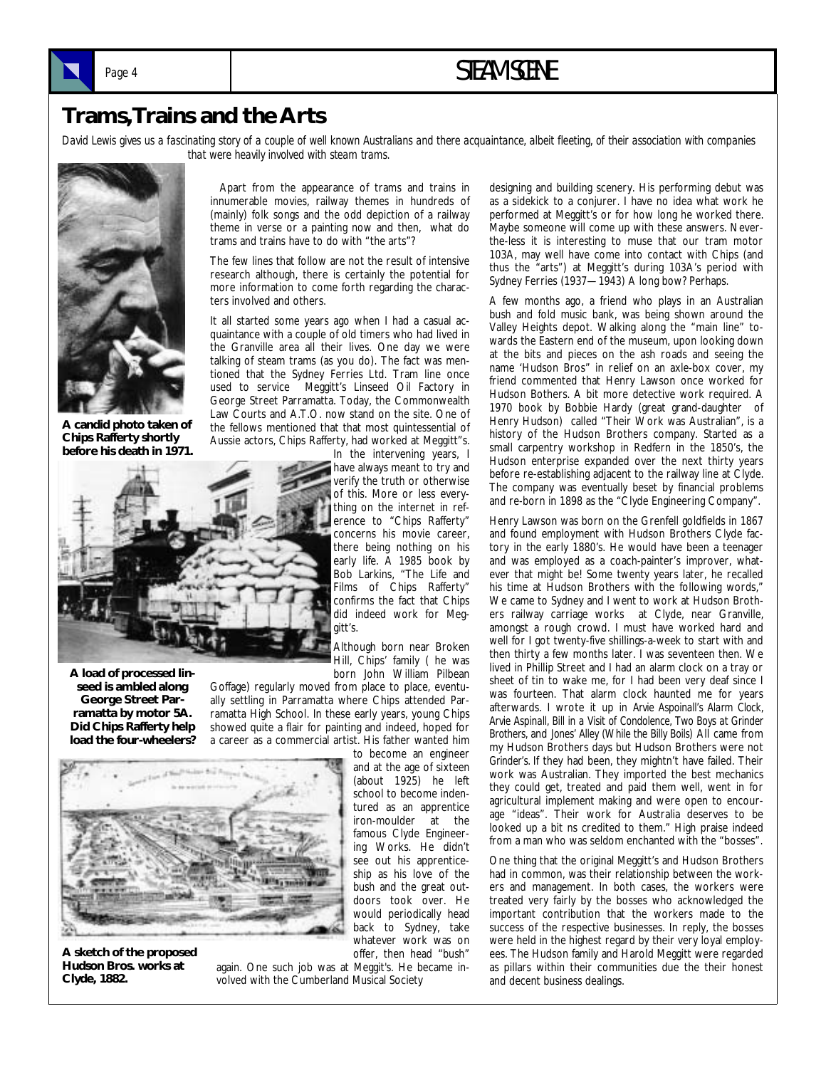

### Page 4 **STEAM SCENE**

### **Trams, Trains and the Arts**

David Lewis gives us a fascinating story of a couple of well known Australians and there acquaintance, albeit fleeting, of their association with companies *that were heavily involved with steam trams.* 



**A candid photo taken of Chips Rafferty shortly before his death in 1971.** 

 Apart from the appearance of trams and trains in innumerable movies, railway themes in hundreds of (mainly) folk songs and the odd depiction of a railway theme in verse or a painting now and then, what do trams and trains have to do with "the arts"?

The few lines that follow are not the result of intensive research although, there is certainly the potential for more information to come forth regarding the characters involved and others.

It all started some years ago when I had a casual acquaintance with a couple of old timers who had lived in the Granville area all their lives. One day we were talking of steam trams (as you do). The fact was mentioned that the Sydney Ferries Ltd. Tram line once used to service Meggitt's Linseed Oil Factory in George Street Parramatta. Today, the Commonwealth Law Courts and A.T.O. now stand on the site. One of the fellows mentioned that that most quintessential of Aussie actors, Chips Rafferty, had worked at Meggitt"s.



**A load of processed linseed is ambled along George Street Parramatta by motor 5A. Did Chips Rafferty help load the four-wheelers?**  In the intervening years, I have always meant to try and verify the truth or otherwise of this. More or less everything on the internet in reference to "Chips Rafferty" concerns his movie career, there being nothing on his early life. A 1985 book by Bob Larkins, "The Life and Films of Chips Rafferty" confirms the fact that Chips did indeed work for Meggitt's.

Although born near Broken Hill, Chips' family ( he was born John William Pilbean

Goffage) regularly moved from place to place, eventually settling in Parramatta where Chips attended Parramatta High School. In these early years, young Chips showed quite a flair for painting and indeed, hoped for a career as a commercial artist. His father wanted him

> to become an engineer and at the age of sixteen (about 1925) he left school to become indentured as an apprentice iron-moulder at the famous Clyde Engineering Works. He didn't see out his apprenticeship as his love of the bush and the great outdoors took over. He would periodically head back to Sydney, take whatever work was on offer, then head "bush"



**A sketch of the proposed Hudson Bros. works at Clyde, 1882.** 

again. One such job was at Meggit's. He became involved with the Cumberland Musical Society

designing and building scenery. His performing debut was as a sidekick to a conjurer. I have no idea what work he performed at Meggitt's or for how long he worked there. Maybe someone will come up with these answers. Neverthe-less it is interesting to muse that our tram motor 103A, may well have come into contact with Chips (and thus the "arts") at Meggitt's during 103A's period with Sydney Ferries (1937—1943) A long bow? Perhaps.

A few months ago, a friend who plays in an Australian bush and fold music bank, was being shown around the Valley Heights depot. Walking along the "main line" towards the Eastern end of the museum, upon looking down at the bits and pieces on the ash roads and seeing the name 'Hudson Bros" in relief on an axle-box cover, my friend commented that Henry Lawson once worked for Hudson Bothers. A bit more detective work required. A 1970 book by Bobbie Hardy (great grand-daughter of Henry Hudson) called "Their Work was Australian", is a history of the Hudson Brothers company. Started as a small carpentry workshop in Redfern in the 1850's, the Hudson enterprise expanded over the next thirty years before re-establishing adjacent to the railway line at Clyde. The company was eventually beset by financial problems and re-born in 1898 as the "Clyde Engineering Company".

Henry Lawson was born on the Grenfell goldfields in 1867 and found employment with Hudson Brothers Clyde factory in the early 1880's. He would have been a teenager and was employed as a coach-painter's improver, whatever that might be! Some twenty years later, he recalled his time at Hudson Brothers with the following words," We came to Sydney and I went to work at Hudson Brothers railway carriage works at Clyde, near Granville, amongst a rough crowd. I must have worked hard and well for I got twenty-five shillings-a-week to start with and then thirty a few months later. I was seventeen then. We lived in Phillip Street and I had an alarm clock on a tray or sheet of tin to wake me, for I had been very deaf since I was fourteen. That alarm clock haunted me for years afterwards. I wrote it up in *Arvie Aspoinall's Alarm Clock, Arvie Aspinall, Bill in a Visit of Condolence, Two Boys at Grinder Brothers,* and *Jones' Alley (While the Billy Boils)* All came from my Hudson Brothers days but Hudson Brothers were not *Grinder's.* If they had been, they mightn't have failed. Their work was Australian. They imported the best mechanics they could get, treated and paid them well, went in for agricultural implement making and were open to encourage "ideas". Their work for Australia deserves to be looked up a bit ns credited to them." High praise indeed from a man who was seldom enchanted with the "bosses".

One thing that the original Meggitt's and Hudson Brothers had in common, was their relationship between the workers and management. In both cases, the workers were treated very fairly by the bosses who acknowledged the important contribution that the workers made to the success of the respective businesses. In reply, the bosses were held in the highest regard by their very loyal employees. The Hudson family and Harold Meggitt were regarded as pillars within their communities due the their honest and decent business dealings.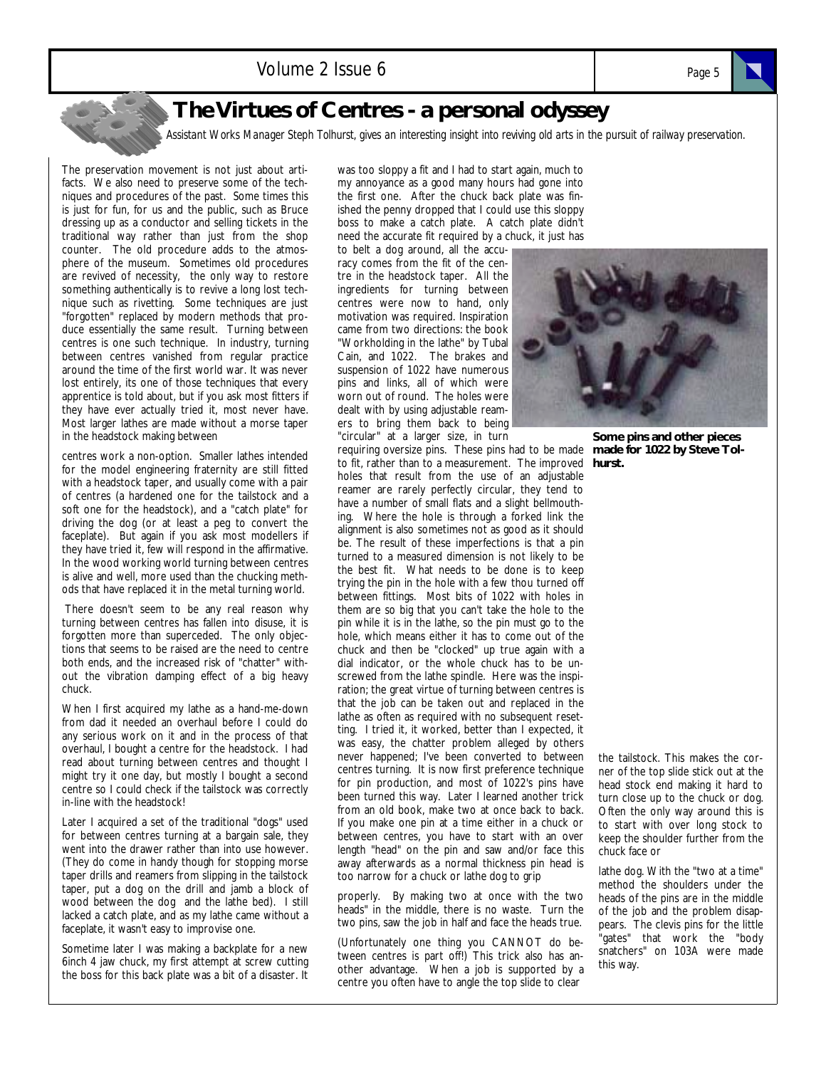

### **The Virtues of Centres - a personal odyssey**

*Assistant Works Manager Steph Tolhurst, gives an interesting insight into reviving old arts in the pursuit of railway preservation.* 

The preservation movement is not just about artifacts. We also need to preserve some of the techniques and procedures of the past. Some times this is just for fun, for us and the public, such as Bruce dressing up as a conductor and selling tickets in the traditional way rather than just from the shop counter. The old procedure adds to the atmosphere of the museum. Sometimes old procedures are revived of necessity, the only way to restore something authentically is to revive a long lost technique such as rivetting. Some techniques are just "forgotten" replaced by modern methods that produce essentially the same result. Turning between centres is one such technique. In industry, turning between centres vanished from regular practice around the time of the first world war. It was never lost entirely, its one of those techniques that every apprentice is told about, but if you ask most fitters if they have ever actually tried it, most never have. Most larger lathes are made without a morse taper in the headstock making between

centres work a non-option. Smaller lathes intended for the model engineering fraternity are still fitted with a headstock taper, and usually come with a pair of centres (a hardened one for the tailstock and a soft one for the headstock), and a "catch plate" for driving the dog (or at least a peg to convert the faceplate). But again if you ask most modellers if they have tried it, few will respond in the affirmative. In the wood working world turning between centres is alive and well, more used than the chucking methods that have replaced it in the metal turning world.

 There doesn't seem to be any real reason why turning between centres has fallen into disuse, it is forgotten more than superceded. The only objections that seems to be raised are the need to centre both ends, and the increased risk of "chatter" without the vibration damping effect of a big heavy chuck.

When I first acquired my lathe as a hand-me-down from dad it needed an overhaul before I could do any serious work on it and in the process of that overhaul, I bought a centre for the headstock. I had read about turning between centres and thought I might try it one day, but mostly I bought a second centre so I could check if the tailstock was correctly in-line with the headstock!

Later I acquired a set of the traditional "dogs" used for between centres turning at a bargain sale, they went into the drawer rather than into use however. (They do come in handy though for stopping morse taper drills and reamers from slipping in the tailstock taper, put a dog on the drill and jamb a block of wood between the dog and the lathe bed). I still lacked a catch plate, and as my lathe came without a faceplate, it wasn't easy to improvise one.

Sometime later I was making a backplate for a new 6inch 4 jaw chuck, my first attempt at screw cutting the boss for this back plate was a bit of a disaster. It

was too sloppy a fit and I had to start again, much to my annoyance as a good many hours had gone into the first one. After the chuck back plate was finished the penny dropped that I could use this sloppy boss to make a catch plate. A catch plate didn't need the accurate fit required by a chuck, it just has to belt a dog around, all the accu-

racy comes from the fit of the centre in the headstock taper. All the ingredients for turning between centres were now to hand, only motivation was required. Inspiration came from two directions: the book "Workholding in the lathe" by Tubal Cain, and 1022. The brakes and suspension of 1022 have numerous pins and links, all of which were worn out of round. The holes were dealt with by using adjustable reamers to bring them back to being "circular" at a larger size, in turn

to fit, rather than to a measurement. The improved holes that result from the use of an adjustable reamer are rarely perfectly circular, they tend to have a number of small flats and a slight bellmouthing. Where the hole is through a forked link the alignment is also sometimes not as good as it should be. The result of these imperfections is that a pin turned to a measured dimension is not likely to be the best fit. What needs to be done is to keep trying the pin in the hole with a few thou turned off between fittings. Most bits of 1022 with holes in them are so big that you can't take the hole to the pin while it is in the lathe, so the pin must go to the hole, which means either it has to come out of the chuck and then be "clocked" up true again with a dial indicator, or the whole chuck has to be unscrewed from the lathe spindle. Here was the inspiration; the great virtue of turning between centres is that the job can be taken out and replaced in the lathe as often as required with no subsequent resetting. I tried it, it worked, better than I expected, it was easy, the chatter problem alleged by others never happened; I've been converted to between centres turning. It is now first preference technique for pin production, and most of 1022's pins have been turned this way. Later I learned another trick from an old book, make two at once back to back. If you make one pin at a time either in a chuck or between centres, you have to start with an over length "head" on the pin and saw and/or face this away afterwards as a normal thickness pin head is too narrow for a chuck or lathe dog to grip

properly. By making two at once with the two heads" in the middle, there is no waste. Turn the two pins, saw the job in half and face the heads true.

(Unfortunately one thing you CANNOT do between centres is part off!) This trick also has another advantage. When a job is supported by a centre you often have to angle the top slide to clear



requiring oversize pins. These pins had to be made **made for 1022 by Steve Tol-Some pins and other pieces hurst.** 

> the tailstock. This makes the corner of the top slide stick out at the head stock end making it hard to turn close up to the chuck or dog. Often the only way around this is to start with over long stock to keep the shoulder further from the chuck face or

> lathe dog. With the "two at a time" method the shoulders under the heads of the pins are in the middle of the job and the problem disappears. The clevis pins for the little "gates" that work the "body snatchers" on 103A were made this way.